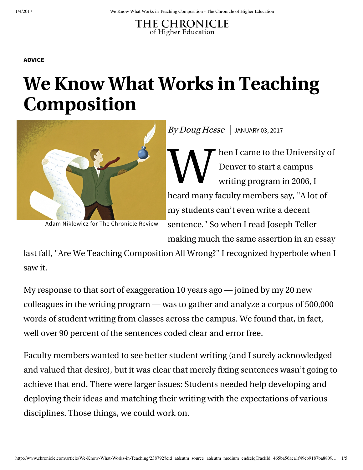## THE CHRONICLE of Higher Education

## **ADVICE**

## **We Know What Works in Teaching Composition**



Adam Niklewicz for The Chronicle Review

 $By Doug Hesse$  JANUARY 03, 2017

W<br>W hen I came to the University of Denver to start a campus writing program in 2006, I heard many faculty members say, "A lot of my students can't even write a decent sentence." So when I read Joseph Teller making much the same assertion in an essay

last fall, "Are We Teaching Composition All Wrong?" I recognized hyperbole when I saw it.

My response to that sort of exaggeration 10 years ago — joined by my 20 new colleagues in the writing program — was to gather and analyze a corpus of 500,000 words of student writing from classes across the campus. We found that, in fact, well over 90 percent of the sentences coded clear and error free.

Faculty members wanted to see better student writing (and I surely acknowledged and valued that desire), but it was clear that merely fixing sentences wasn't going to achieve that end. There were larger issues: Students needed help developing and deploying their ideas and matching their writing with the expectations of various disciplines. Those things, we could work on.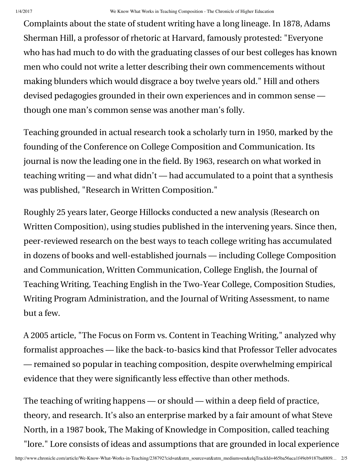Complaints about the state of student writing have a long lineage. In 1878, Adams Sherman Hill, a professor of rhetoric at Harvard, famously protested: "Everyone who has had much to do with the graduating classes of our best colleges has known men who could not write a letter describing their own commencements without making blunders which would disgrace a boy twelve years old." Hill and others devised pedagogies grounded in their own experiences and in common sense though one man's common sense was another man's folly.

Teaching grounded in actual research took a scholarly turn in 1950, marked by the founding of the Conference on College Composition and Communication. Its journal is now the leading one in the field. By 1963, research on what worked in teaching writing — and what didn't — had accumulated to a point that a synthesis was published, "Research in Written Composition."

Roughly 25 years later, George Hillocks conducted a new analysis (Research on Written Composition), using studies published in the intervening years. Since then, peer-reviewed research on the best ways to teach college writing has accumulated in dozens of books and well-established journals — including College Composition and Communication, Written Communication, College English, the Journal of Teaching Writing, Teaching English in the Two-Year College, Composition Studies, Writing Program Administration, and the Journal of Writing Assessment, to name but a few.

A 2005 article, "The Focus on Form vs. Content in Teaching Writing," analyzed why formalist approaches — like the back-to-basics kind that Professor Teller advocates — remained so popular in teaching composition, despite overwhelming empirical evidence that they were significantly less effective than other methods.

The teaching of writing happens — or should — within a deep field of practice, theory, and research. It's also an enterprise marked by a fair amount of what Steve North, in a 1987 book, The Making of Knowledge in Composition, called teaching "lore." Lore consists of ideas and assumptions that are grounded in local experience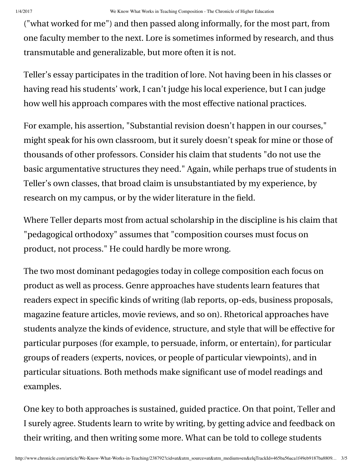("what worked for me") and then passed along informally, for the most part, from one faculty member to the next. Lore is sometimes informed by research, and thus transmutable and generalizable, but more often it is not.

Teller's essay participates in the tradition of lore. Not having been in his classes or having read his students' work, I can't judge his local experience, but I can judge how well his approach compares with the most effective national practices.

For example, his assertion, "Substantial revision doesn't happen in our courses," might speak for his own classroom, but it surely doesn't speak for mine or those of thousands of other professors. Consider his claim that students "do not use the basic argumentative structures they need." Again, while perhaps true of students in Teller's own classes, that broad claim is unsubstantiated by my experience, by research on my campus, or by the wider literature in the field.

Where Teller departs most from actual scholarship in the discipline is his claim that "pedagogical orthodoxy" assumes that "composition courses must focus on product, not process." He could hardly be more wrong.

The two most dominant pedagogies today in college composition each focus on product as well as process. Genre approaches have students learn features that readers expect in specific kinds of writing (lab reports, op-eds, business proposals, magazine feature articles, movie reviews, and so on). Rhetorical approaches have students analyze the kinds of evidence, structure, and style that will be effective for particular purposes (for example, to persuade, inform, or entertain), for particular groups of readers (experts, novices, or people of particular viewpoints), and in particular situations. Both methods make significant use of model readings and examples.

One key to both approaches is sustained, guided practice. On that point, Teller and I surely agree. Students learn to write by writing, by getting advice and feedback on their writing, and then writing some more. What can be told to college students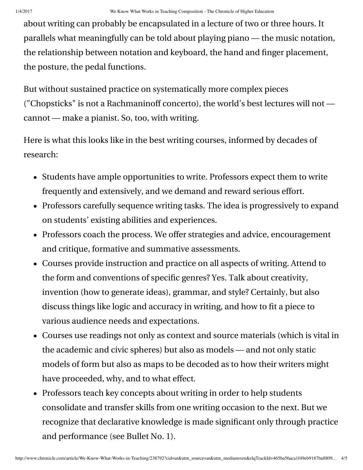about writing can probably be encapsulated in a lecture of two or three hours. It parallels what meaningfully can be told about playing piano — the music notation, the relationship between notation and keyboard, the hand and finger placement, the posture, the pedal functions.

But without sustained practice on systematically more complex pieces ("Chopsticks" is not a Rachmaninoff concerto), the world's best lectures will not cannot — make a pianist. So, too, with writing.

Here is what this looks like in the best writing courses, informed by decades of research:

- Students have ample opportunities to write. Professors expect them to write frequently and extensively, and we demand and reward serious effort.
- Professors carefully sequence writing tasks. The idea is progressively to expand on students' existing abilities and experiences.
- Professors coach the process. We offer strategies and advice, encouragement and critique, formative and summative assessments.
- Courses provide instruction and practice on all aspects of writing. Attend to the form and conventions of specific genres? Yes. Talk about creativity, invention (how to generate ideas), grammar, and style? Certainly, but also discuss things like logic and accuracy in writing, and how to fit a piece to various audience needs and expectations.
- Courses use readings not only as context and source materials (which is vital in the academic and civic spheres) but also as models — and not only static models of form but also as maps to be decoded as to how their writers might have proceeded, why, and to what effect.
- Professors teach key concepts about writing in order to help students consolidate and transfer skills from one writing occasion to the next. But we recognize that declarative knowledge is made significant only through practice and performance (see Bullet No. 1).